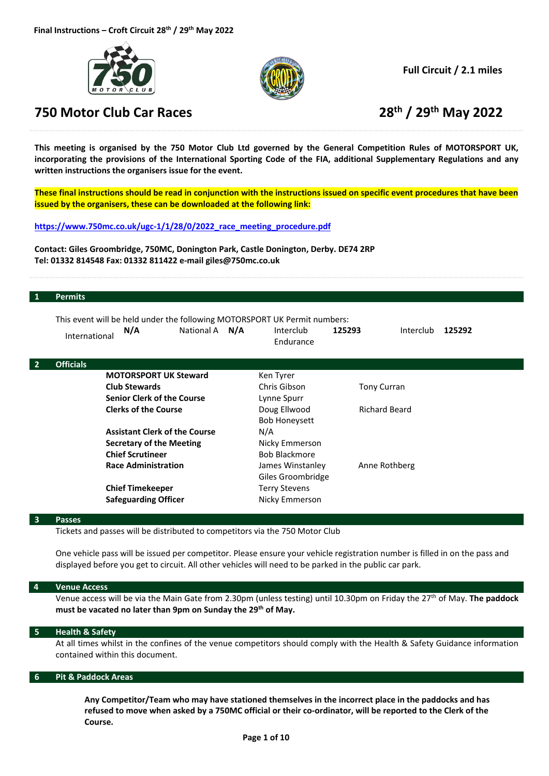





**Full Circuit / 2.1 miles**

This meeting is organised by the 750 Motor Club Ltd governed by the General Competition Rules of MOTORSPORT UK, incorporating the provisions of the International Sporting Code of the FIA, additional Supplementary Regulations and any **written instructions the organisers issue for the event.** 

These final instructions should be read in conjunction with the instructions issued on specific event procedures that have been **issued by the organisers, these can be downloaded at the following link:**

**https://www.750mc.co.uk/ugc‐1/1/28/0/2022\_race\_meeting\_procedure.pdf**

**Contact: Giles Groombridge, 750MC, Donington Park, Castle Donington, Derby. DE74 2RP Tel: 01332 814548 Fax: 01332 811422 e‐mail giles@750mc.co.uk**

#### **1 Permits**

|                | International                                              | This event will be held under the following MOTORSPORT UK Permit numbers:<br>N/A | National A N/A                    | Interclub<br>Endurance | 125293               | Interclub          | 125292 |
|----------------|------------------------------------------------------------|----------------------------------------------------------------------------------|-----------------------------------|------------------------|----------------------|--------------------|--------|
| $\overline{2}$ | <b>Officials</b>                                           |                                                                                  |                                   |                        |                      |                    |        |
|                |                                                            | <b>MOTORSPORT UK Steward</b>                                                     |                                   | Ken Tyrer              |                      |                    |        |
|                |                                                            | <b>Club Stewards</b>                                                             |                                   | Chris Gibson           |                      | <b>Tony Curran</b> |        |
|                | <b>Senior Clerk of the Course</b>                          |                                                                                  | Lynne Spurr                       |                        |                      |                    |        |
|                | <b>Clerks of the Course</b>                                |                                                                                  | Doug Ellwood                      |                        | <b>Richard Beard</b> |                    |        |
|                |                                                            |                                                                                  |                                   | <b>Bob Honeysett</b>   |                      |                    |        |
|                |                                                            | <b>Assistant Clerk of the Course</b>                                             |                                   | N/A                    |                      |                    |        |
|                | <b>Secretary of the Meeting</b><br><b>Chief Scrutineer</b> |                                                                                  | Nicky Emmerson                    |                        |                      |                    |        |
|                |                                                            |                                                                                  | <b>Bob Blackmore</b>              |                        |                      |                    |        |
|                | <b>Race Administration</b>                                 |                                                                                  | Anne Rothberg<br>James Winstanley |                        |                      |                    |        |
|                |                                                            |                                                                                  |                                   | Giles Groombridge      |                      |                    |        |
|                | <b>Chief Timekeeper</b>                                    |                                                                                  | <b>Terry Stevens</b>              |                        |                      |                    |        |
|                |                                                            | <b>Safeguarding Officer</b>                                                      |                                   | Nicky Emmerson         |                      |                    |        |
|                |                                                            |                                                                                  |                                   |                        |                      |                    |        |

#### **3 Passes**

Tickets and passes will be distributed to competitors via the 750 Motor Club

One vehicle pass will be issued per competitor. Please ensure your vehicle registration number is filled in on the pass and displayed before you get to circuit. All other vehicles will need to be parked in the public car park.

#### **4 Venue Access**

Venue access will be via the Main Gate from 2.30pm (unless testing) until 10.30pm on Friday the 27th of May. **The paddock must be vacated no later than 9pm on Sunday the 29th of May.**

#### **5 Health & Safety**

At all times whilst in the confines of the venue competitors should comply with the Health & Safety Guidance information contained within this document.

#### **6 Pit & Paddock Areas**

**Any Competitor/Team who may have stationed themselves in the incorrect place in the paddocks and has** refused to move when asked by a 750MC official or their co-ordinator, will be reported to the Clerk of the **Course.**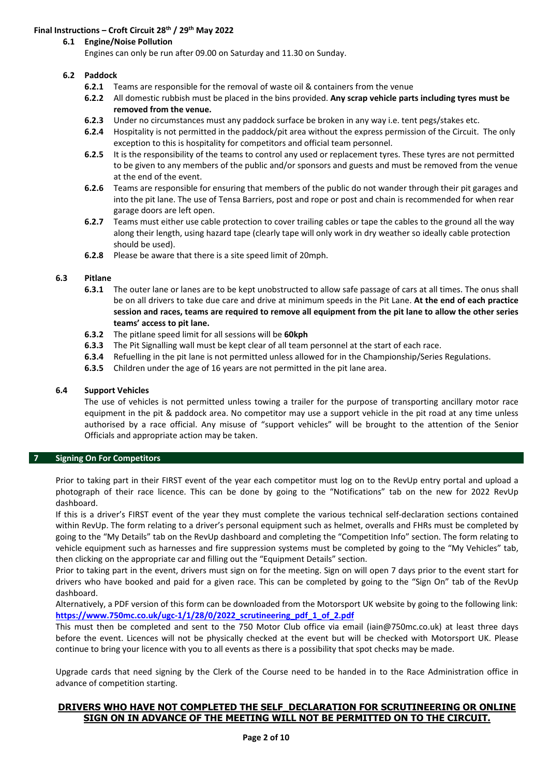# **Final Instructions – Croft Circuit 28th / 29th May 2022**

# **6.1 Engine/Noise Pollution**

Engines can only be run after 09.00 on Saturday and 11.30 on Sunday.

# **6.2 Paddock**

- **6.2.1** Teams are responsible for the removal of waste oil & containers from the venue
- **6.2.2** All domestic rubbish must be placed in the bins provided. **Any scrap vehicle parts including tyres must be removed from the venue.**
- **6.2.3** Under no circumstances must any paddock surface be broken in any way i.e. tent pegs/stakes etc.
- **6.2.4** Hospitality is not permitted in the paddock/pit area without the express permission of the Circuit. The only exception to this is hospitality for competitors and official team personnel.
- **6.2.5** It is the responsibility of the teams to control any used or replacement tyres. These tyres are not permitted to be given to any members of the public and/or sponsors and guests and must be removed from the venue at the end of the event.
- **6.2.6** Teams are responsible for ensuring that members of the public do not wander through their pit garages and into the pit lane. The use of Tensa Barriers, post and rope or post and chain is recommended for when rear garage doors are left open.
- **6.2.7** Teams must either use cable protection to cover trailing cables or tape the cables to the ground all the way along their length, using hazard tape (clearly tape will only work in dry weather so ideally cable protection should be used).
- **6.2.8** Please be aware that there is a site speed limit of 20mph.

#### **6.3 Pitlane**

- **6.3.1**  The outer lane or lanes are to be kept unobstructed to allow safe passage of cars at all times. The onus shall be on all drivers to take due care and drive at minimum speeds in the Pit Lane. **At the end of each practice** session and races, teams are required to remove all equipment from the pit lane to allow the other series **teams' access to pit lane.**
- **6.3.2** The pitlane speed limit for all sessions will be **60kph**
- **6.3.3** The Pit Signalling wall must be kept clear of all team personnel at the start of each race.
- **6.3.4** Refuelling in the pit lane is not permitted unless allowed for in the Championship/Series Regulations.
- **6.3.5** Children under the age of 16 years are not permitted in the pit lane area.

### **6.4 Support Vehicles**

The use of vehicles is not permitted unless towing a trailer for the purpose of transporting ancillary motor race equipment in the pit & paddock area. No competitor may use a support vehicle in the pit road at any time unless authorised by a race official. Any misuse of "support vehicles" will be brought to the attention of the Senior Officials and appropriate action may be taken.

### **7 Signing On For Competitors**

Prior to taking part in their FIRST event of the year each competitor must log on to the RevUp entry portal and upload a photograph of their race licence. This can be done by going to the "Notifications" tab on the new for 2022 RevUp dashboard.

If this is a driver's FIRST event of the year they must complete the various technical self‐declaration sections contained within RevUp. The form relating to a driver's personal equipment such as helmet, overalls and FHRs must be completed by going to the "My Details" tab on the RevUp dashboard and completing the "Competition Info" section. The form relating to vehicle equipment such as harnesses and fire suppression systems must be completed by going to the "My Vehicles" tab, then clicking on the appropriate car and filling out the "Equipment Details" section.

Prior to taking part in the event, drivers must sign on for the meeting. Sign on will open 7 days prior to the event start for drivers who have booked and paid for a given race. This can be completed by going to the "Sign On" tab of the RevUp dashboard.

Alternatively, a PDF version of this form can be downloaded from the Motorsport UK website by going to the following link: **https://www.750mc.co.uk/ugc‐1/1/28/0/2022\_scrutineering\_pdf\_1\_of\_2.pdf**

This must then be completed and sent to the 750 Motor Club office via email (iain@750mc.co.uk) at least three days before the event. Licences will not be physically checked at the event but will be checked with Motorsport UK. Please continue to bring your licence with you to all events as there is a possibility that spot checks may be made.

Upgrade cards that need signing by the Clerk of the Course need to be handed in to the Race Administration office in advance of competition starting.

# **DRIVERS WHO HAVE NOT COMPLETED THE SELF\_DECLARATION FOR SCRUTINEERING OR ONLINE SIGN ON IN ADVANCE OF THE MEETING WILL NOT BE PERMITTED ON TO THE CIRCUIT.**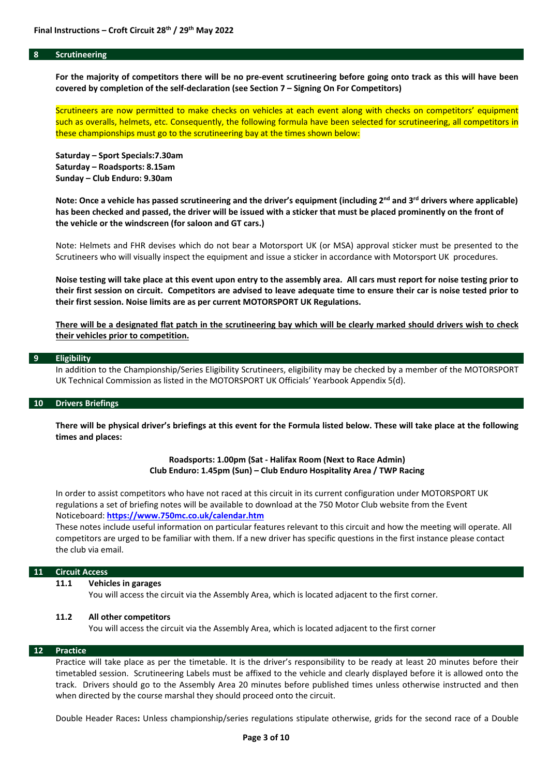#### **8 Scrutineering**

For the majority of competitors there will be no pre-event scrutineering before going onto track as this will have been **covered by completion of the self‐declaration (see Section 7 – Signing On For Competitors)**

Scrutineers are now permitted to make checks on vehicles at each event along with checks on competitors' equipment such as overalls, helmets, etc. Consequently, the following formula have been selected for scrutineering, all competitors in these championships must go to the scrutineering bay at the times shown below:

**Saturday – Sport Specials:7.30am Saturday – Roadsports: 8.15am Sunday – Club Enduro: 9.30am**

Note: Once a vehicle has passed scrutineering and the driver's equipment (including 2<sup>nd</sup> and 3<sup>rd</sup> drivers where applicable) has been checked and passed, the driver will be issued with a sticker that must be placed prominently on the front of **the vehicle or the windscreen (for saloon and GT cars.)**

Note: Helmets and FHR devises which do not bear a Motorsport UK (or MSA) approval sticker must be presented to the Scrutineers who will visually inspect the equipment and issue a sticker in accordance with Motorsport UK procedures.

Noise testing will take place at this event upon entry to the assembly area. All cars must report for noise testing prior to their first session on circuit. Competitors are advised to leave adequate time to ensure their car is noise tested prior to **their first session. Noise limits are as per current MOTORSPORT UK Regulations.** 

There will be a designated flat patch in the scrutineering bay which will be clearly marked should drivers wish to check **their vehicles prior to competition.**

#### **9 Eligibility**

In addition to the Championship/Series Eligibility Scrutineers, eligibility may be checked by a member of the MOTORSPORT UK Technical Commission as listed in the MOTORSPORT UK Officials' Yearbook Appendix 5(d).

### **10 Drivers Briefings**

There will be physical driver's briefings at this event for the Formula listed below. These will take place at the following **times and places:**

#### **Roadsports: 1.00pm (Sat ‐ Halifax Room (Next to Race Admin) Club Enduro: 1.45pm (Sun) – Club Enduro Hospitality Area / TWP Racing**

In order to assist competitors who have not raced at this circuit in its current configuration under MOTORSPORT UK regulations a set of briefing notes will be available to download at the 750 Motor Club website from the Event Noticeboard: **https://www.750mc.co.uk/calendar.htm**

These notes include useful information on particular features relevant to this circuit and how the meeting will operate. All competitors are urged to be familiar with them. If a new driver has specific questions in the first instance please contact the club via email.

#### **11 Circuit Access**

#### **11.1 Vehicles in garages**

You will access the circuit via the Assembly Area, which is located adjacent to the first corner.

#### **11.2 All other competitors**

You will access the circuit via the Assembly Area, which is located adjacent to the first corner

#### **12 Practice**

Practice will take place as per the timetable. It is the driver's responsibility to be ready at least 20 minutes before their timetabled session. Scrutineering Labels must be affixed to the vehicle and clearly displayed before it is allowed onto the track. Drivers should go to the Assembly Area 20 minutes before published times unless otherwise instructed and then when directed by the course marshal they should proceed onto the circuit.

Double Header Races**:** Unless championship/series regulations stipulate otherwise, grids for the second race of a Double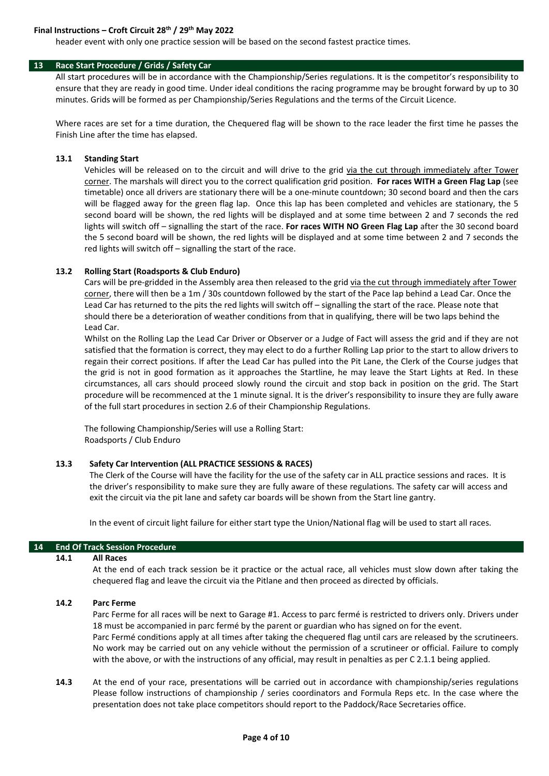# **Final Instructions – Croft Circuit 28th / 29th May 2022**

header event with only one practice session will be based on the second fastest practice times.

#### **13 Race Start Procedure / Grids / Safety Car**

All start procedures will be in accordance with the Championship/Series regulations. It is the competitor's responsibility to ensure that they are ready in good time. Under ideal conditions the racing programme may be brought forward by up to 30 minutes. Grids will be formed as per Championship/Series Regulations and the terms of the Circuit Licence.

Where races are set for a time duration, the Chequered flag will be shown to the race leader the first time he passes the Finish Line after the time has elapsed.

#### **13.1 Standing Start**

Vehicles will be released on to the circuit and will drive to the grid via the cut through immediately after Tower corner. The marshals will direct you to the correct qualification grid position. **For races WITH a Green Flag Lap** (see timetable) once all drivers are stationary there will be a one‐minute countdown; 30 second board and then the cars will be flagged away for the green flag lap. Once this lap has been completed and vehicles are stationary, the 5 second board will be shown, the red lights will be displayed and at some time between 2 and 7 seconds the red lights will switch off – signalling the start of the race. **For races WITH NO Green Flag Lap** after the 30 second board the 5 second board will be shown, the red lights will be displayed and at some time between 2 and 7 seconds the red lights will switch off – signalling the start of the race.

#### **13.2 Rolling Start (Roadsports & Club Enduro)**

Cars will be pre-gridded in the Assembly area then released to the grid via the cut through immediately after Tower corner, there will then be a 1m / 30s countdown followed by the start of the Pace lap behind a Lead Car. Once the Lead Car has returned to the pits the red lights will switch off – signalling the start of the race. Please note that should there be a deterioration of weather conditions from that in qualifying, there will be two laps behind the Lead Car.

Whilst on the Rolling Lap the Lead Car Driver or Observer or a Judge of Fact will assess the grid and if they are not satisfied that the formation is correct, they may elect to do a further Rolling Lap prior to the start to allow drivers to regain their correct positions. If after the Lead Car has pulled into the Pit Lane, the Clerk of the Course judges that the grid is not in good formation as it approaches the Startline, he may leave the Start Lights at Red. In these circumstances, all cars should proceed slowly round the circuit and stop back in position on the grid. The Start procedure will be recommenced at the 1 minute signal. It is the driver's responsibility to insure they are fully aware of the full start procedures in section 2.6 of their Championship Regulations.

The following Championship/Series will use a Rolling Start: Roadsports / Club Enduro

#### **13.3 Safety Car Intervention (ALL PRACTICE SESSIONS & RACES)**

The Clerk of the Course will have the facility for the use of the safety car in ALL practice sessions and races. It is the driver's responsibility to make sure they are fully aware of these regulations. The safety car will access and exit the circuit via the pit lane and safety car boards will be shown from the Start line gantry.

In the event of circuit light failure for either start type the Union/National flag will be used to start all races.

#### **14 End Of Track Session Procedure**

#### **14.1 All Races**

At the end of each track session be it practice or the actual race, all vehicles must slow down after taking the chequered flag and leave the circuit via the Pitlane and then proceed as directed by officials.

#### **14.2 Parc Ferme**

Parc Ferme for all races will be next to Garage #1. Access to parc fermé is restricted to drivers only. Drivers under 18 must be accompanied in parc fermé by the parent or guardian who has signed on for the event. Parc Fermé conditions apply at all times after taking the chequered flag until cars are released by the scrutineers. No work may be carried out on any vehicle without the permission of a scrutineer or official. Failure to comply with the above, or with the instructions of any official, may result in penalties as per C 2.1.1 being applied.

**14.3** At the end of your race, presentations will be carried out in accordance with championship/series regulations Please follow instructions of championship / series coordinators and Formula Reps etc. In the case where the presentation does not take place competitors should report to the Paddock/Race Secretaries office.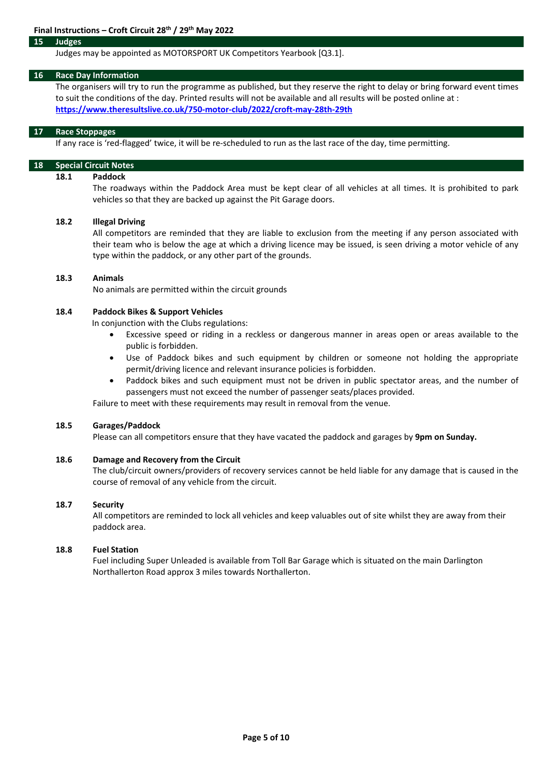#### **15 Judges**

#### Judges may be appointed as MOTORSPORT UK Competitors Yearbook [Q3.1].

#### **16 Race Day Information**

The organisers will try to run the programme as published, but they reserve the right to delay or bring forward event times to suit the conditions of the day. Printed results will not be available and all results will be posted online at : **https://www.theresultslive.co.uk/750‐motor‐club/2022/croft‐may‐28th‐29th**

#### **17 Race Stoppages**

If any race is 'red-flagged' twice, it will be re-scheduled to run as the last race of the day, time permitting.

# **18 Special Circuit Notes**

# **18.1 Paddock**

The roadways within the Paddock Area must be kept clear of all vehicles at all times. It is prohibited to park vehicles so that they are backed up against the Pit Garage doors.

#### **18.2 Illegal Driving**

All competitors are reminded that they are liable to exclusion from the meeting if any person associated with their team who is below the age at which a driving licence may be issued, is seen driving a motor vehicle of any type within the paddock, or any other part of the grounds.

#### **18.3 Animals**

No animals are permitted within the circuit grounds

#### **18.4 Paddock Bikes & Support Vehicles**

In conjunction with the Clubs regulations:

- Excessive speed or riding in a reckless or dangerous manner in areas open or areas available to the public is forbidden.
- Use of Paddock bikes and such equipment by children or someone not holding the appropriate permit/driving licence and relevant insurance policies is forbidden.
- Paddock bikes and such equipment must not be driven in public spectator areas, and the number of passengers must not exceed the number of passenger seats/places provided.

Failure to meet with these requirements may result in removal from the venue.

#### **18.5 Garages/Paddock**

Please can all competitors ensure that they have vacated the paddock and garages by **9pm on Sunday.**

# **18.6 Damage and Recovery from the Circuit**

The club/circuit owners/providers of recovery services cannot be held liable for any damage that is caused in the course of removal of any vehicle from the circuit.

#### **18.7 Security**

All competitors are reminded to lock all vehicles and keep valuables out of site whilst they are away from their paddock area.

# **18.8 Fuel Station**

Fuel including Super Unleaded is available from Toll Bar Garage which is situated on the main Darlington Northallerton Road approx 3 miles towards Northallerton.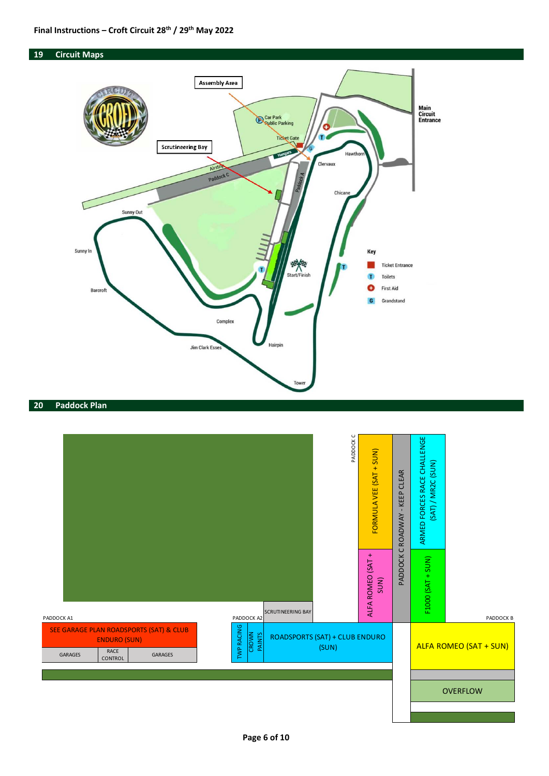



# **19 Circuit Maps**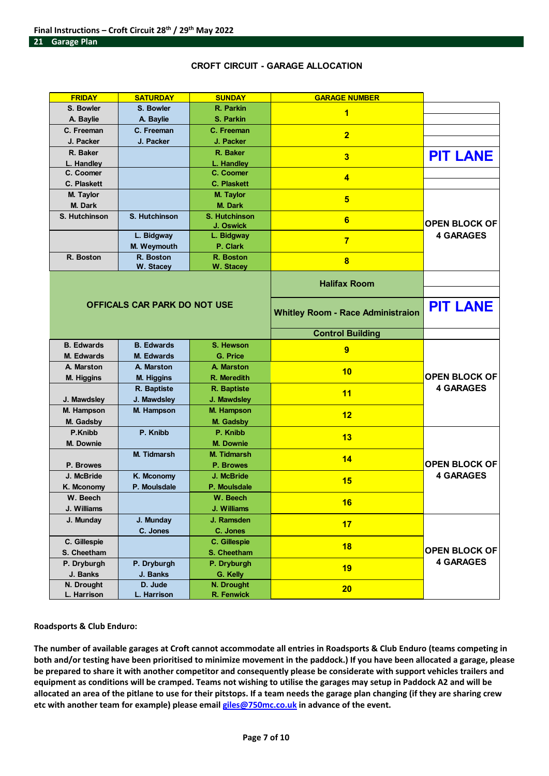# **CROFT CIRCUIT - GARAGE ALLOCATION**

| <b>FRIDAY</b>                                                    | <b>SATURDAY</b><br><b>SUNDAY</b> |                         | <b>GARAGE NUMBER</b>                     |                                          |  |
|------------------------------------------------------------------|----------------------------------|-------------------------|------------------------------------------|------------------------------------------|--|
| S. Bowler                                                        | S. Bowler                        | R. Parkin               | 1                                        |                                          |  |
| A. Baylie                                                        | A. Baylie                        |                         |                                          |                                          |  |
| C. Freeman<br>C. Freeman                                         |                                  | C. Freeman              | $\overline{2}$                           |                                          |  |
| J. Packer<br>J. Packer                                           |                                  | J. Packer               |                                          |                                          |  |
| R. Baker                                                         |                                  | R. Baker                | 3                                        | <b>PIT LANE</b>                          |  |
| L. Handley                                                       |                                  | L. Handley              |                                          |                                          |  |
| C. Coomer                                                        |                                  | C. Coomer               | $\overline{\mathbf{4}}$                  |                                          |  |
| C. Plaskett                                                      |                                  | <b>C. Plaskett</b>      |                                          |                                          |  |
| M. Taylor                                                        |                                  | M. Taylor               | 5                                        |                                          |  |
| M. Dark                                                          |                                  | M. Dark                 |                                          | <b>OPEN BLOCK OF</b><br><b>4 GARAGES</b> |  |
| S. Hutchinson                                                    | S. Hutchinson                    | <b>S. Hutchinson</b>    | 6                                        |                                          |  |
|                                                                  | L. Bidgway                       | J. Oswick<br>L. Bidgway |                                          |                                          |  |
|                                                                  | M. Weymouth                      | P. Clark                | $\overline{7}$                           |                                          |  |
| R. Boston                                                        | R. Boston                        | R. Boston               |                                          |                                          |  |
|                                                                  | W. Stacey                        | <b>W. Stacey</b>        | 8                                        |                                          |  |
|                                                                  |                                  |                         | <b>Halifax Room</b>                      |                                          |  |
|                                                                  |                                  |                         |                                          |                                          |  |
|                                                                  | OFFICALS CAR PARK DO NOT USE     |                         | <b>Whitley Room - Race Administraion</b> | <b>PIT LANE</b>                          |  |
|                                                                  |                                  |                         |                                          |                                          |  |
|                                                                  |                                  |                         | <b>Control Building</b>                  |                                          |  |
| <b>B.</b> Edwards                                                | <b>B.</b> Edwards                | S. Hewson               | 9                                        |                                          |  |
| <b>M. Edwards</b>                                                | <b>M. Edwards</b>                | <b>G. Price</b>         |                                          |                                          |  |
| A. Marston                                                       | A. Marston                       | <b>A. Marston</b>       | 10                                       | <b>OPEN BLOCK OF</b>                     |  |
| <b>M. Higgins</b>                                                | M. Higgins                       | R. Meredith             |                                          | <b>4 GARAGES</b>                         |  |
|                                                                  | R. Baptiste                      | R. Baptiste             | 11                                       |                                          |  |
| J. Mawdsley                                                      | J. Mawdsley                      | J. Mawdsley             |                                          |                                          |  |
| M. Hampson<br>M. Hampson<br>M. Hampson<br>M. Gadsby<br>M. Gadsby |                                  |                         | 12                                       |                                          |  |
| P.Knibb                                                          | P. Knibb                         | P. Knibb                |                                          |                                          |  |
| M. Downie                                                        |                                  | <b>M. Downie</b>        | 13                                       |                                          |  |
|                                                                  | <b>M. Tidmarsh</b>               | <b>M. Tidmarsh</b>      |                                          |                                          |  |
| P. Browes                                                        |                                  | P. Browes               | 14                                       | <b>OPEN BLOCK OF</b>                     |  |
| J. McBride<br>K. Mconomy                                         |                                  | J. McBride              |                                          | <b>4 GARAGES</b>                         |  |
| K. Mconomy                                                       | P. Moulsdale                     | P. Moulsdale            | 15                                       |                                          |  |
| W. Beech                                                         |                                  | W. Beech                |                                          |                                          |  |
| J. Williams                                                      |                                  | J. Williams             | 16                                       |                                          |  |
| J. Munday                                                        | J. Munday                        | J. Ramsden              |                                          |                                          |  |
|                                                                  | C. Jones                         | C. Jones                | 17                                       |                                          |  |
| C. Gillespie                                                     |                                  | C. Gillespie            | 18                                       |                                          |  |
| S. Cheetham                                                      |                                  | S. Cheetham             |                                          | <b>OPEN BLOCK OF</b>                     |  |
| P. Dryburgh                                                      | P. Dryburgh                      | P. Dryburgh             | 19                                       | <b>4 GARAGES</b>                         |  |
| J. Banks                                                         | J. Banks                         | G. Kelly                |                                          |                                          |  |
| N. Drought                                                       | D. Jude                          | N. Drought              | 20                                       |                                          |  |
| L. Harrison                                                      | L. Harrison                      | R. Fenwick              |                                          |                                          |  |

**Roadsports & Club Enduro:**

The number of available garages at Croft cannot accommodate all entries in Roadsports & Club Enduro (teams competing in both and/or testing have been prioritised to minimize movement in the paddock.) If you have been allocated a garage, please be prepared to share it with another competitor and consequently please be considerate with support vehicles trailers and equipment as conditions will be cramped. Teams not wishing to utilise the garages may setup in Paddock A2 and will be allocated an area of the pitlane to use for their pitstops. If a team needs the garage plan changing (if they are sharing crew **etc with another team for example) please email giles@750mc.co.uk in advance of the event.**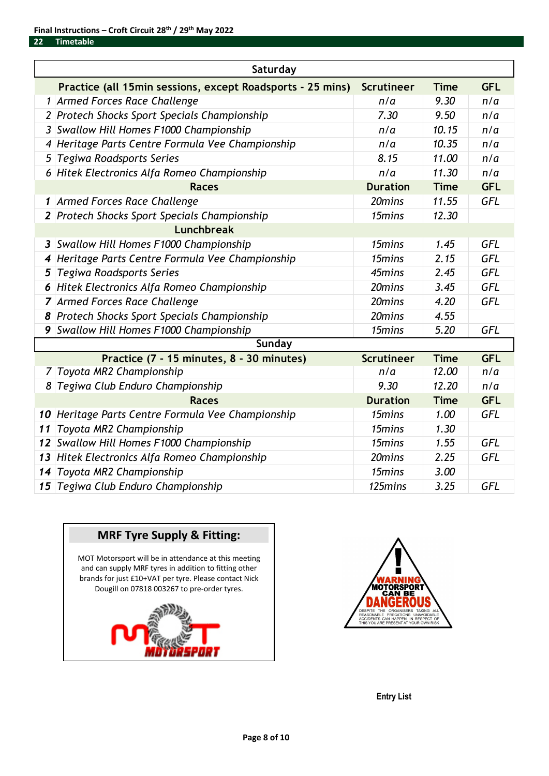| Saturday     |                                                            |                   |             |            |  |  |
|--------------|------------------------------------------------------------|-------------------|-------------|------------|--|--|
|              | Practice (all 15min sessions, except Roadsports - 25 mins) | <b>Scrutineer</b> | <b>Time</b> | <b>GFL</b> |  |  |
|              | 1 Armed Forces Race Challenge                              | n/a               | 9.30        | n/a        |  |  |
|              | 2 Protech Shocks Sport Specials Championship               | 7.30              | 9.50        | n/a        |  |  |
|              | 3 Swallow Hill Homes F1000 Championship                    | n/a               | 10.15       | n/a        |  |  |
| 4            | Heritage Parts Centre Formula Vee Championship             | n/a               | 10.35       | n/a        |  |  |
| 5            | Tegiwa Roadsports Series                                   | 8.15              | 11.00       | n/a        |  |  |
|              | 6 Hitek Electronics Alfa Romeo Championship                | n/a               | 11.30       | n/a        |  |  |
|              | <b>Races</b>                                               | <b>Duration</b>   | <b>Time</b> | <b>GFL</b> |  |  |
| 1            | Armed Forces Race Challenge                                | 20mins            | 11.55       | <b>GFL</b> |  |  |
|              | 2 Protech Shocks Sport Specials Championship               | 15mins            | 12.30       |            |  |  |
|              | <b>Lunchbreak</b>                                          |                   |             |            |  |  |
| $\mathbf{3}$ | Swallow Hill Homes F1000 Championship                      | 15mins            | 1.45        | <b>GFL</b> |  |  |
| 4            | Heritage Parts Centre Formula Vee Championship             | 15mins            | 2.15        | <b>GFL</b> |  |  |
| 5            | Tegiwa Roadsports Series                                   | 45mins            | 2.45        | <b>GFL</b> |  |  |
|              | 6 Hitek Electronics Alfa Romeo Championship                | 20mins            | 3.45        | <b>GFL</b> |  |  |
|              | 7 Armed Forces Race Challenge                              | 20mins            | 4.20        | <b>GFL</b> |  |  |
|              | 8 Protech Shocks Sport Specials Championship               | 20mins            | 4.55        |            |  |  |
| 9            | Swallow Hill Homes F1000 Championship                      | 15mins            | 5.20        | <b>GFL</b> |  |  |
|              | Sunday                                                     |                   |             |            |  |  |
|              | Practice (7 - 15 minutes, 8 - 30 minutes)                  | <b>Scrutineer</b> | <b>Time</b> | <b>GFL</b> |  |  |
|              | 7 Toyota MR2 Championship                                  | n/a               | 12.00       | n/a        |  |  |
|              | 8 Tegiwa Club Enduro Championship                          | 9.30              | 12.20       | n/a        |  |  |
|              | <b>Races</b>                                               | <b>Duration</b>   | <b>Time</b> | <b>GFL</b> |  |  |
|              | 10 Heritage Parts Centre Formula Vee Championship          | 15mins            | 1.00        | <b>GFL</b> |  |  |
| 11           | Toyota MR2 Championship                                    | 15mins            | 1.30        |            |  |  |
|              | 12 Swallow Hill Homes F1000 Championship                   | 15mins            | 1.55        | <b>GFL</b> |  |  |
| 13           | Hitek Electronics Alfa Romeo Championship                  | 20mins            | 2.25        | <b>GFL</b> |  |  |
| 14           | Toyota MR2 Championship                                    | 15mins            | 3.00        |            |  |  |
|              | 15 Tegiwa Club Enduro Championship                         | 125mins           | 3.25        | <b>GFL</b> |  |  |





**Entry List**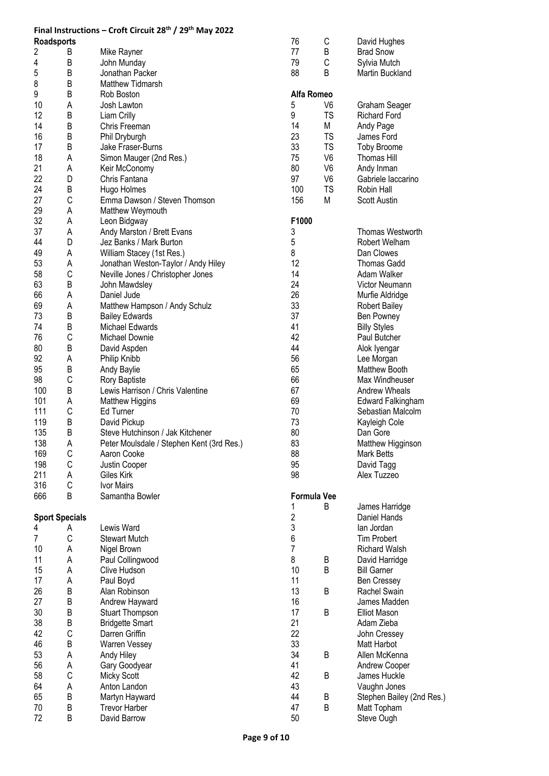|                       |             | Final Instructions - Croft Circuit 28 <sup>th</sup> / 29 <sup>th</sup> May 2022 |                |                    |                           |
|-----------------------|-------------|---------------------------------------------------------------------------------|----------------|--------------------|---------------------------|
| <b>Roadsports</b>     |             |                                                                                 | 76             | С                  | David Hughes              |
| 2                     | Β           | Mike Rayner                                                                     | 77             | B                  | <b>Brad Snow</b>          |
| 4                     | В           | John Munday                                                                     | 79             | C                  | Sylvia Mutch              |
| 5                     | В           | Jonathan Packer                                                                 | 88             | B                  | Martin Buckland           |
| 8                     | В           | <b>Matthew Tidmarsh</b>                                                         |                |                    |                           |
| 9                     | B           | Rob Boston                                                                      | Alfa Romeo     |                    |                           |
| 10                    | Α           | Josh Lawton                                                                     | 5              | V6                 | Graham Seager             |
| 12                    | B           | Liam Crilly                                                                     | 9              | <b>TS</b>          | <b>Richard Ford</b>       |
| 14                    | B           | Chris Freeman                                                                   | 14             | M                  | Andy Page                 |
| 16                    | B           |                                                                                 | 23             | <b>TS</b>          | James Ford                |
|                       | B           | Phil Dryburgh                                                                   | 33             | <b>TS</b>          |                           |
| 17                    |             | Jake Fraser-Burns                                                               |                |                    | <b>Toby Broome</b>        |
| 18                    | Α           | Simon Mauger (2nd Res.)                                                         | 75             | V <sub>6</sub>     | <b>Thomas Hill</b>        |
| 21                    | Α           | Keir McConomy                                                                   | 80             | V <sub>6</sub>     | Andy Inman                |
| 22                    | D           | Chris Fantana                                                                   | 97             | V <sub>6</sub>     | Gabriele laccarino        |
| 24                    | В           | Hugo Holmes                                                                     | 100            | <b>TS</b>          | Robin Hall                |
| 27                    | C           | Emma Dawson / Steven Thomson                                                    | 156            | M                  | Scott Austin              |
| 29                    | Α           | Matthew Weymouth                                                                |                |                    |                           |
| 32                    | Α           | Leon Bidgway                                                                    | F1000          |                    |                           |
| 37                    | Α           | Andy Marston / Brett Evans                                                      | 3              |                    | <b>Thomas Westworth</b>   |
| 44                    | D           | Jez Banks / Mark Burton                                                         | 5              |                    | Robert Welham             |
| 49                    | Α           | William Stacey (1st Res.)                                                       | 8              |                    | Dan Clowes                |
| 53                    | Α           | Jonathan Weston-Taylor / Andy Hiley                                             | 12             |                    | <b>Thomas Gadd</b>        |
| 58                    | C           | Neville Jones / Christopher Jones                                               | 14             |                    | Adam Walker               |
| 63                    | В           | John Mawdsley                                                                   | 24             |                    | Victor Neumann            |
| 66                    | Α           | Daniel Jude                                                                     | 26             |                    | Murfie Aldridge           |
| 69                    | Α           | Matthew Hampson / Andy Schulz                                                   | 33             |                    | <b>Robert Bailey</b>      |
| 73                    | B           | <b>Bailey Edwards</b>                                                           | 37             |                    | Ben Powney                |
| 74                    | B           | Michael Edwards                                                                 | 41             |                    | <b>Billy Styles</b>       |
| 76                    | C           | Michael Downie                                                                  | 42             |                    | Paul Butcher              |
| 80                    | В           | David Aspden                                                                    | 44             |                    | Alok Iyengar              |
| 92                    | Α           | Philip Knibb                                                                    | 56             |                    | Lee Morgan                |
| 95                    | B           |                                                                                 | 65             |                    | <b>Matthew Booth</b>      |
|                       | C           | Andy Baylie                                                                     | 66             |                    |                           |
| 98                    |             | Rory Baptiste                                                                   |                |                    | Max Windheuser            |
| 100                   | B           | Lewis Harrison / Chris Valentine                                                | 67             |                    | Andrew Wheals             |
| 101                   | Α           | Matthew Higgins                                                                 | 69             |                    | <b>Edward Falkingham</b>  |
| 111                   | C           | Ed Turner                                                                       | 70             |                    | Sebastian Malcolm         |
| 119                   | B           | David Pickup                                                                    | 73             |                    | Kayleigh Cole             |
| 135                   | B           | Steve Hutchinson / Jak Kitchener                                                | 80             |                    | Dan Gore                  |
| 138                   | Α           | Peter Moulsdale / Stephen Kent (3rd Res.)                                       | 83             |                    | Matthew Higginson         |
| 169                   | С           | Aaron Cooke                                                                     | 88             |                    | <b>Mark Betts</b>         |
| 198                   | C           | Justin Cooper                                                                   | 95             |                    | David Tagg                |
| 211                   | Α           | Giles Kirk                                                                      | 98             |                    | Alex Tuzzeo               |
| 316                   | C           | Ivor Mairs                                                                      |                |                    |                           |
| 666                   | B           | Samantha Bowler                                                                 |                | <b>Formula Vee</b> |                           |
|                       |             |                                                                                 | 1              | B                  | James Harridge            |
| <b>Sport Specials</b> |             |                                                                                 | $\overline{c}$ |                    | Daniel Hands              |
| 4                     | A           | Lewis Ward                                                                      | 3              |                    | lan Jordan                |
| 7                     | $\mathsf C$ | <b>Stewart Mutch</b>                                                            | 6              |                    | <b>Tim Probert</b>        |
| 10                    | Α           | Nigel Brown                                                                     | $\overline{7}$ |                    | <b>Richard Walsh</b>      |
| 11                    | Α           | Paul Collingwood                                                                | 8              | B                  | David Harridge            |
| 15                    | Α           | Clive Hudson                                                                    | 10             | B                  | <b>Bill Garner</b>        |
| 17                    | Α           | Paul Boyd                                                                       | 11             |                    | <b>Ben Cressey</b>        |
| 26                    | B           | Alan Robinson                                                                   | 13             | B                  | Rachel Swain              |
| 27                    | B           | Andrew Hayward                                                                  | 16             |                    | James Madden              |
| 30                    | B           | <b>Stuart Thompson</b>                                                          | 17             | B                  | <b>Elliot Mason</b>       |
| 38                    | B           | <b>Bridgette Smart</b>                                                          | 21             |                    | Adam Zieba                |
| 42                    | C           | Darren Griffin                                                                  | 22             |                    | John Cressey              |
| 46                    | B           | <b>Warren Vessey</b>                                                            | 33             |                    | Matt Harbot               |
|                       |             |                                                                                 |                |                    |                           |
| 53                    | Α           | Andy Hiley                                                                      | 34<br>41       | B                  | Allen McKenna             |
| 56                    | А           | Gary Goodyear                                                                   |                |                    | Andrew Cooper             |
| 58                    | C           | Micky Scott                                                                     | 42             | B                  | James Huckle              |
| 64                    | Α           | Anton Landon                                                                    | 43             |                    | Vaughn Jones              |
| 65                    | B           | Martyn Hayward                                                                  | 44             | B                  | Stephen Bailey (2nd Res.) |
| 70                    | B           | <b>Trevor Harber</b>                                                            | 47             | B                  | Matt Topham               |
| 72                    | B           | David Barrow                                                                    | 50             |                    | Steve Ough                |